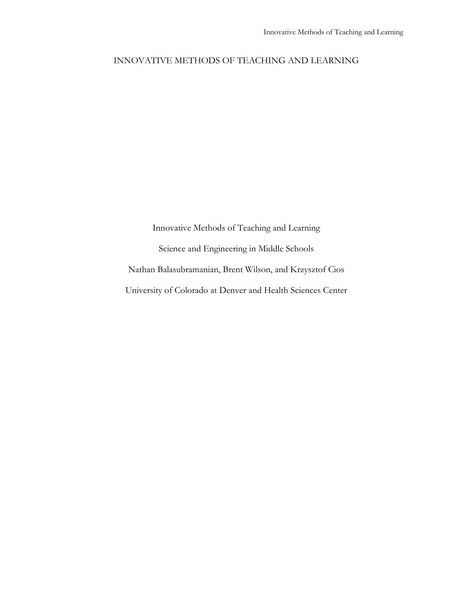# INNOVATIVE METHODS OF TEACHING AND LEARNING

Innovative Methods of Teaching and Learning Science and Engineering in Middle Schools Nathan Balasubramanian, Brent Wilson, and Krzysztof Cios University of Colorado at Denver and Health Sciences Center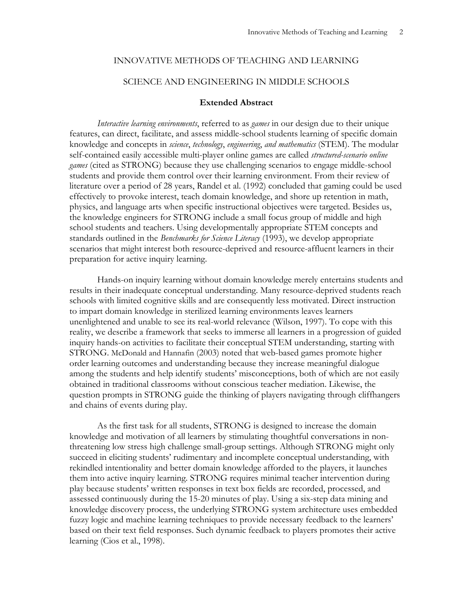### INNOVATIVE METHODS OF TEACHING AND LEARNING

### SCIENCE AND ENGINEERING IN MIDDLE SCHOOLS

## **Extended Abstract**

*Interactive learning environments*, referred to as *games* in our design due to their unique features, can direct, facilitate, and assess middle-school students learning of specific domain knowledge and concepts in *science*, *technology*, *engineering*, *and mathematics* (STEM). The modular self-contained easily accessible multi-player online games are called *structured-scenario online games* (cited as STRONG) because they use challenging scenarios to engage middle-school students and provide them control over their learning environment. From their review of literature over a period of 28 years, Randel et al. (1992) concluded that gaming could be used effectively to provoke interest, teach domain knowledge, and shore up retention in math, physics, and language arts when specific instructional objectives were targeted. Besides us, the knowledge engineers for STRONG include a small focus group of middle and high school students and teachers. Using developmentally appropriate STEM concepts and standards outlined in the *Benchmarks for Science Literacy* (1993), we develop appropriate scenarios that might interest both resource-deprived and resource-affluent learners in their preparation for active inquiry learning.

Hands-on inquiry learning without domain knowledge merely entertains students and results in their inadequate conceptual understanding. Many resource-deprived students reach schools with limited cognitive skills and are consequently less motivated. Direct instruction to impart domain knowledge in sterilized learning environments leaves learners unenlightened and unable to see its real-world relevance (Wilson, 1997). To cope with this reality, we describe a framework that seeks to immerse all learners in a progression of guided inquiry hands-on activities to facilitate their conceptual STEM understanding, starting with STRONG. McDonald and Hannafin (2003) noted that web-based games promote higher order learning outcomes and understanding because they increase meaningful dialogue among the students and help identify students' misconceptions, both of which are not easily obtained in traditional classrooms without conscious teacher mediation. Likewise, the question prompts in STRONG guide the thinking of players navigating through cliffhangers and chains of events during play.

As the first task for all students, STRONG is designed to increase the domain knowledge and motivation of all learners by stimulating thoughtful conversations in nonthreatening low stress high challenge small-group settings. Although STRONG might only succeed in eliciting students' rudimentary and incomplete conceptual understanding, with rekindled intentionality and better domain knowledge afforded to the players, it launches them into active inquiry learning. STRONG requires minimal teacher intervention during play because students' written responses in text box fields are recorded, processed, and assessed continuously during the 15-20 minutes of play. Using a six-step data mining and knowledge discovery process, the underlying STRONG system architecture uses embedded fuzzy logic and machine learning techniques to provide necessary feedback to the learners' based on their text field responses. Such dynamic feedback to players promotes their active learning (Cios et al., 1998).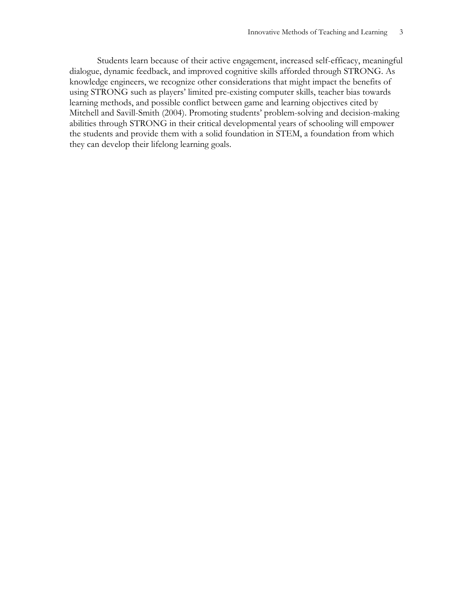Students learn because of their active engagement, increased self-efficacy, meaningful dialogue, dynamic feedback, and improved cognitive skills afforded through STRONG. As knowledge engineers, we recognize other considerations that might impact the benefits of using STRONG such as players' limited pre-existing computer skills, teacher bias towards learning methods, and possible conflict between game and learning objectives cited by Mitchell and Savill-Smith (2004). Promoting students' problem-solving and decision-making abilities through STRONG in their critical developmental years of schooling will empower the students and provide them with a solid foundation in STEM, a foundation from which they can develop their lifelong learning goals.